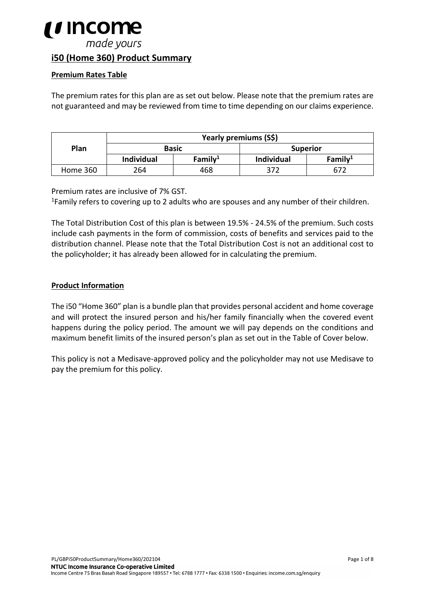

# **i50 (Home 360) Product Summary**

#### **Premium Rates Table**

The premium rates for this plan are as set out below. Please note that the premium rates are not guaranteed and may be reviewed from time to time depending on our claims experience.

|          | Yearly premiums (S\$) |            |                 |            |
|----------|-----------------------|------------|-----------------|------------|
| Plan     | <b>Basic</b>          |            | <b>Superior</b> |            |
|          | <b>Individual</b>     | Family $1$ | Individual      | Family $1$ |
| Home 360 | 264                   | 468        | 372             | 672        |

Premium rates are inclusive of 7% GST.<br><sup>1</sup>Family refers to covering up to 2 adults who are spouses and any number of their children.

The Total Distribution Cost of this plan is between 19.5% - 24.5% of the premium. Such costs include cash payments in the form of commission, costs of benefits and services paid to the distribution channel. Please note that the Total Distribution Cost is not an additional cost to the policyholder; it has already been allowed for in calculating the premium.

#### **Product Information**

The i50 "Home 360" plan is a bundle plan that provides personal accident and home coverage and will protect the insured person and his/her family financially when the covered event happens during the policy period. The amount we will pay depends on the conditions and maximum benefit limits of the insured person's plan as set out in the Table of Cover below.

This policy is not a Medisave-approved policy and the policyholder may not use Medisave to pay the premium for this policy.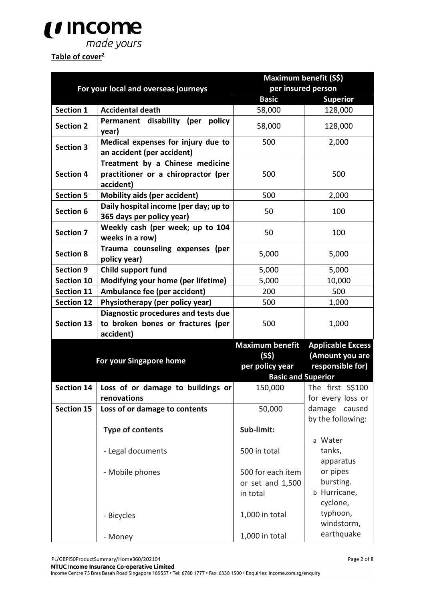

# Table of cover<sup>2</sup>

|                                      |                                                                                     | Maximum benefit (S\$)     |                                    |
|--------------------------------------|-------------------------------------------------------------------------------------|---------------------------|------------------------------------|
| For your local and overseas journeys |                                                                                     | per insured person        |                                    |
|                                      |                                                                                     | <b>Basic</b>              | <b>Superior</b>                    |
| <b>Section 1</b>                     | <b>Accidental death</b>                                                             | 58,000                    | 128,000                            |
| <b>Section 2</b>                     | Permanent disability (per policy<br>year)                                           | 58,000                    | 128,000                            |
| <b>Section 3</b>                     | Medical expenses for injury due to<br>an accident (per accident)                    | 500                       | 2,000                              |
| <b>Section 4</b>                     | Treatment by a Chinese medicine<br>practitioner or a chiropractor (per<br>accident) | 500                       | 500                                |
| <b>Section 5</b>                     | <b>Mobility aids (per accident)</b>                                                 | 500                       | 2,000                              |
| <b>Section 6</b>                     | Daily hospital income (per day; up to<br>365 days per policy year)                  | 50                        | 100                                |
| <b>Section 7</b>                     | Weekly cash (per week; up to 104<br>weeks in a row)                                 | 50                        | 100                                |
| <b>Section 8</b>                     | Trauma counseling expenses (per<br>policy year)                                     | 5,000                     | 5,000                              |
| <b>Section 9</b>                     | Child support fund                                                                  | 5,000                     | 5,000                              |
| Section 10                           | Modifying your home (per lifetime)                                                  | 5,000                     | 10,000                             |
| <b>Section 11</b>                    | Ambulance fee (per accident)                                                        | 200                       | 500                                |
| <b>Section 12</b>                    | Physiotherapy (per policy year)                                                     | 500                       | 1,000                              |
|                                      | Diagnostic procedures and tests due                                                 |                           |                                    |
| <b>Section 13</b>                    | to broken bones or fractures (per                                                   | 500                       | 1,000                              |
|                                      | accident)                                                                           |                           |                                    |
|                                      |                                                                                     | <b>Maximum benefit</b>    | <b>Applicable Excess</b>           |
|                                      |                                                                                     | (S\$)                     | (Amount you are                    |
|                                      | For your Singapore home                                                             |                           | responsible for)                   |
|                                      |                                                                                     | <b>Basic and Superior</b> |                                    |
| <b>Section 14</b>                    | Loss of or damage to buildings or                                                   | 150,000                   | The first S\$100                   |
|                                      | renovations                                                                         |                           | for every loss or                  |
| <b>Section 15</b>                    | Loss of or damage to contents                                                       | 50,000                    | damage caused<br>by the following: |
|                                      | <b>Type of contents</b>                                                             | Sub-limit:                |                                    |
|                                      |                                                                                     |                           | a Water                            |
|                                      | - Legal documents                                                                   | 500 in total              | tanks,<br>apparatus                |
|                                      | - Mobile phones                                                                     | 500 for each item         | or pipes                           |
|                                      |                                                                                     | or set and 1,500          | bursting.                          |
|                                      |                                                                                     | in total                  | b Hurricane,                       |
|                                      |                                                                                     |                           | cyclone,                           |
|                                      | - Bicycles                                                                          | 1,000 in total            | typhoon,                           |
|                                      |                                                                                     |                           | windstorm,                         |
|                                      | - Money                                                                             | 1,000 in total            | earthquake                         |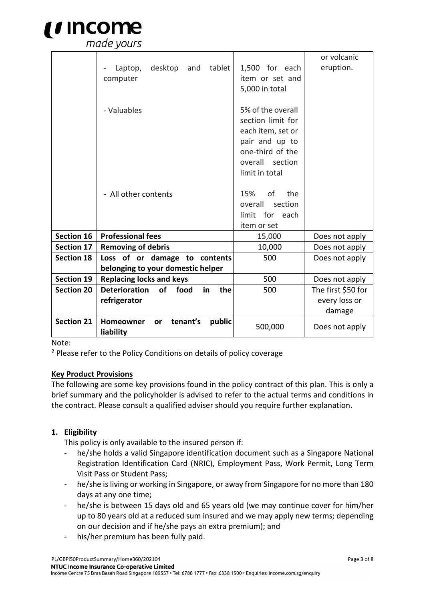

|                   |                                                                  |                                        | or volcanic        |
|-------------------|------------------------------------------------------------------|----------------------------------------|--------------------|
|                   | desktop<br>tablet<br>Laptop,<br>and                              | 1,500 for each                         | eruption.          |
|                   | computer                                                         | item or set and                        |                    |
|                   |                                                                  | 5,000 in total                         |                    |
|                   |                                                                  |                                        |                    |
|                   | - Valuables                                                      | 5% of the overall                      |                    |
|                   |                                                                  | section limit for<br>each item, set or |                    |
|                   |                                                                  | pair and up to                         |                    |
|                   |                                                                  | one-third of the                       |                    |
|                   |                                                                  | overall section                        |                    |
|                   |                                                                  | limit in total                         |                    |
|                   |                                                                  |                                        |                    |
|                   | - All other contents                                             | 15%<br>of<br>the                       |                    |
|                   |                                                                  | section<br>overall                     |                    |
|                   |                                                                  | for each<br>limit                      |                    |
|                   |                                                                  | item or set                            |                    |
| <b>Section 16</b> | <b>Professional fees</b>                                         | 15,000                                 | Does not apply     |
| <b>Section 17</b> | <b>Removing of debris</b>                                        | 10,000                                 | Does not apply     |
| <b>Section 18</b> | Loss of or damage to contents                                    | 500                                    | Does not apply     |
|                   | belonging to your domestic helper                                |                                        |                    |
| <b>Section 19</b> | <b>Replacing locks and keys</b>                                  | 500                                    | Does not apply     |
| <b>Section 20</b> | <b>Deterioration</b><br>of<br>food<br>in<br>the                  | 500                                    | The first \$50 for |
|                   | refrigerator                                                     |                                        | every loss or      |
|                   |                                                                  |                                        | damage             |
| <b>Section 21</b> | tenant's<br>public<br><b>Homeowner</b><br><b>or</b><br>liability | 500,000                                | Does not apply     |

Note:

<sup>2</sup> Please refer to the Policy Conditions on details of policy coverage

#### **Key Product Provisions**

The following are some key provisions found in the policy contract of this plan. This is only a brief summary and the policyholder is advised to refer to the actual terms and conditions in the contract. Please consult a qualified adviser should you require further explanation.

#### **1. Eligibility**

This policy is only available to the insured person if:

- he/she holds a valid Singapore identification document such as a Singapore National Registration Identification Card (NRIC), Employment Pass, Work Permit, Long Term Visit Pass or Student Pass;
- he/she is living or working in Singapore, or away from Singapore for no more than 180 days at any one time;
- he/she is between 15 days old and 65 years old (we may continue cover for him/her up to 80 years old at a reduced sum insured and we may apply new terms; depending on our decision and if he/she pays an extra premium); and
- his/her premium has been fully paid.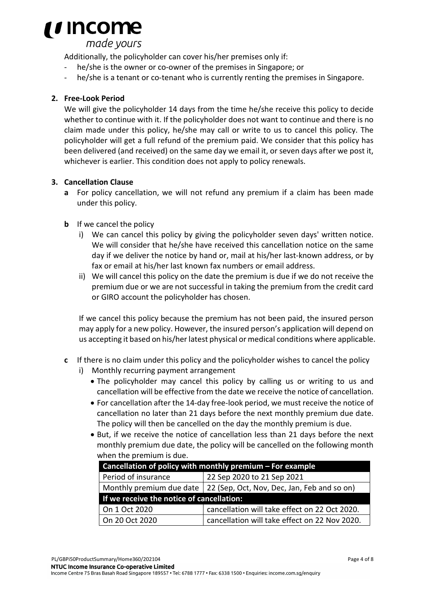

made yours

Additionally, the policyholder can cover his/her premises only if:

- he/she is the owner or co-owner of the premises in Singapore; or
- he/she is a tenant or co-tenant who is currently renting the premises in Singapore.

# **2. Free-Look Period**

We will give the policyholder 14 days from the time he/she receive this policy to decide whether to continue with it. If the policyholder does not want to continue and there is no claim made under this policy, he/she may call or write to us to cancel this policy. The policyholder will get a full refund of the premium paid. We consider that this policy has been delivered (and received) on the same day we email it, or seven days after we post it, whichever is earlier. This condition does not apply to policy renewals.

## **3. Cancellation Clause**

- **a** For policy cancellation, we will not refund any premium if a claim has been made under this policy.
- **b** If we cancel the policy
	- i) We can cancel this policy by giving the policyholder seven days' written notice. We will consider that he/she have received this cancellation notice on the same day if we deliver the notice by hand or, mail at his/her last-known address, or by fax or email at his/her last known fax numbers or email address.
	- ii) We will cancel this policy on the date the premium is due if we do not receive the premium due or we are not successful in taking the premium from the credit card or GIRO account the policyholder has chosen.

If we cancel this policy because the premium has not been paid, the insured person may apply for a new policy. However, the insured person's application will depend on us accepting it based on his/her latest physical or medical conditions where applicable.

- **c** If there is no claim under this policy and the policyholder wishes to cancel the policy
	- i) Monthly recurring payment arrangement
		- The policyholder may cancel this policy by calling us or writing to us and cancellation will be effective from the date we receive the notice of cancellation.
		- For cancellation after the 14-day free-look period, we must receive the notice of cancellation no later than 21 days before the next monthly premium due date. The policy will then be cancelled on the day the monthly premium is due.
		- But, if we receive the notice of cancellation less than 21 days before the next monthly premium due date, the policy will be cancelled on the following month when the premium is due.

| Cancellation of policy with monthly premium - For example              |  |  |  |
|------------------------------------------------------------------------|--|--|--|
| 22 Sep 2020 to 21 Sep 2021<br>Period of insurance                      |  |  |  |
| Monthly premium due date   22 (Sep, Oct, Nov, Dec, Jan, Feb and so on) |  |  |  |
| If we receive the notice of cancellation:                              |  |  |  |
| cancellation will take effect on 22 Oct 2020.<br>On 1 Oct 2020         |  |  |  |
| On 20 Oct 2020<br>cancellation will take effect on 22 Nov 2020.        |  |  |  |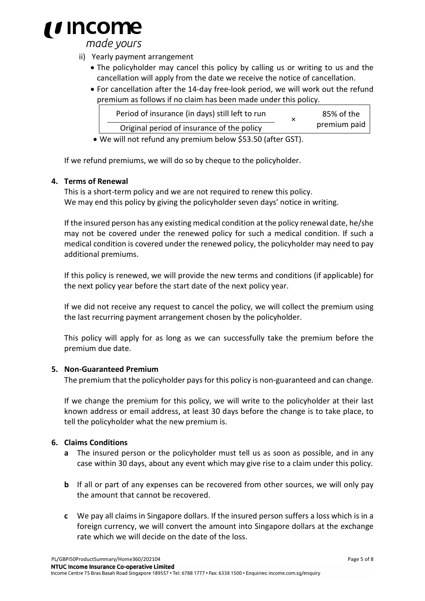

made yours

- ii) Yearly payment arrangement
	- The policyholder may cancel this policy by calling us or writing to us and the cancellation will apply from the date we receive the notice of cancellation.
	- For cancellation after the 14-day free-look period, we will work out the refund premium as follows if no claim has been made under this policy.

| Period of insurance (in days) still left to run |  | 85% of the<br>premium paid |
|-------------------------------------------------|--|----------------------------|
| Original period of insurance of the policy      |  |                            |
|                                                 |  |                            |

• We will not refund any premium below \$53.50 (after GST).

If we refund premiums, we will do so by cheque to the policyholder.

#### **4. Terms of Renewal**

This is a short-term policy and we are not required to renew this policy. We may end this policy by giving the policyholder seven days' notice in writing.

If the insured person has any existing medical condition at the policy renewal date, he/she may not be covered under the renewed policy for such a medical condition. If such a medical condition is covered under the renewed policy, the policyholder may need to pay additional premiums.

If this policy is renewed, we will provide the new terms and conditions (if applicable) for the next policy year before the start date of the next policy year.

If we did not receive any request to cancel the policy, we will collect the premium using the last recurring payment arrangement chosen by the policyholder.

This policy will apply for as long as we can successfully take the premium before the premium due date.

#### **5. Non-Guaranteed Premium**

The premium that the policyholder pays for this policy is non-guaranteed and can change.

If we change the premium for this policy, we will write to the policyholder at their last known address or email address, at least 30 days before the change is to take place, to tell the policyholder what the new premium is.

#### **6. Claims Conditions**

- **a** The insured person or the policyholder must tell us as soon as possible, and in any case within 30 days, about any event which may give rise to a claim under this policy.
- **b** If all or part of any expenses can be recovered from other sources, we will only pay the amount that cannot be recovered.
- **c** We pay all claims in Singapore dollars. If the insured person suffers a loss which is in a foreign currency, we will convert the amount into Singapore dollars at the exchange rate which we will decide on the date of the loss.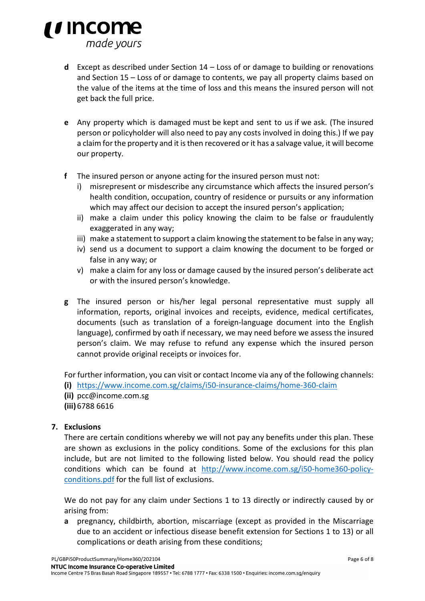

- **d** Except as described under Section 14 Loss of or damage to building or renovations and Section 15 – Loss of or damage to contents, we pay all property claims based on the value of the items at the time of loss and this means the insured person will not get back the full price.
- **e** Any property which is damaged must be kept and sent to us if we ask. (The insured person or policyholder will also need to pay any costs involved in doing this.) If we pay a claim for the property and it is then recovered or it has a salvage value, it will become our property.
- **f** The insured person or anyone acting for the insured person must not:
	- i) misrepresent or misdescribe any circumstance which affects the insured person's health condition, occupation, country of residence or pursuits or any information which may affect our decision to accept the insured person's application;
	- ii) make a claim under this policy knowing the claim to be false or fraudulently exaggerated in any way;
	- iii) make a statement to support a claim knowing the statement to be false in any way;
	- iv) send us a document to support a claim knowing the document to be forged or false in any way; or
	- v) make a claim for any loss or damage caused by the insured person's deliberate act or with the insured person's knowledge.
- **g** The insured person or his/her legal personal representative must supply all information, reports, original invoices and receipts, evidence, medical certificates, documents (such as translation of a foreign-language document into the English language), confirmed by oath if necessary, we may need before we assess the insured person's claim. We may refuse to refund any expense which the insured person cannot provide original receipts or invoices for.

For further information, you can visit or contact Income via any of the following channels:

**(i)** https://www.income.com.sg/claims/i50-insurance-claims/home-360-claim

**(ii)** [pcc@income.com.sg](mailto:pcc@income.com.sg)

**(iii)** 6788 6616

## **7. Exclusions**

There are certain conditions whereby we will not pay any benefits under this plan. These are shown as exclusions in the policy conditions. Some of the exclusions for this plan include, but are not limited to the following listed below. You should read the policy conditions which can be found at [http://www.income.com.sg/i50-home360-policy](http://www.income.com.sg/i50-home360-policy-conditions.pdf)[conditions.pdf](http://www.income.com.sg/i50-home360-policy-conditions.pdf) for the full list of exclusions.

We do not pay for any claim under Sections 1 to 13 directly or indirectly caused by or arising from:

**a** pregnancy, childbirth, abortion, miscarriage (except as provided in the Miscarriage due to an accident or infectious disease benefit extension for Sections 1 to 13) or all complications or death arising from these conditions;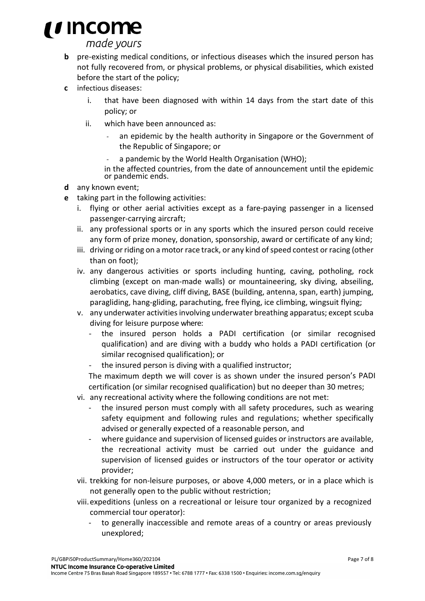# *i i* Income

made yours

- **b** pre-existing medical conditions, or infectious diseases which the insured person has not fully recovered from, or physical problems, or physical disabilities, which existed before the start of the policy;
- **c** infectious diseases:
	- i. that have been diagnosed with within 14 days from the start date of this policy; or
	- ii. which have been announced as:
		- an epidemic by the health authority in Singapore or the Government of the Republic of Singapore; or
		- a pandemic by the World Health Organisation (WHO);

in the affected countries, from the date of announcement until the epidemic or pandemic ends.

- **d** any known event;
- **e** taking part in the following activities:
	- i. flying or other aerial activities except as a fare-paying passenger in a licensed passenger-carrying aircraft;
	- ii. any professional sports or in any sports which the insured person could receive any form of prize money, donation, sponsorship, award or certificate of any kind;
	- iii. driving or riding on a motor race track, or any kind of speed contest or racing (other than on foot);
	- iv. any dangerous activities or sports including hunting, caving, potholing, rock climbing (except on man-made walls) or mountaineering, sky diving, abseiling, aerobatics, cave diving, cliff diving, BASE (building, antenna, span, earth) jumping, paragliding, hang-gliding, parachuting, free flying, ice climbing, wingsuit flying;
	- v. any underwater activities involving underwater breathing apparatus; except scuba diving for leisure purpose where:
		- the insured person holds a PADI certification (or similar recognised qualification) and are diving with a buddy who holds a PADI certification (or similar recognised qualification); or
		- the insured person is diving with a qualified instructor;

The maximum depth we will cover is as shown under the insured person's PADI certification (or similar recognised qualification) but no deeper than 30 metres;

- vi. any recreational activity where the following conditions are not met:
	- the insured person must comply with all safety procedures, such as wearing safety equipment and following rules and regulations; whether specifically advised or generally expected of a reasonable person, and
	- where guidance and supervision of licensed guides or instructors are available, the recreational activity must be carried out under the guidance and supervision of licensed guides or instructors of the tour operator or activity provider;
- vii. trekking for non-leisure purposes, or above 4,000 meters, or in a place which is not generally open to the public without restriction;
- viii.expeditions (unless on a recreational or leisure tour organized by a recognized commercial tour operator):
	- to generally inaccessible and remote areas of a country or areas previously unexplored;